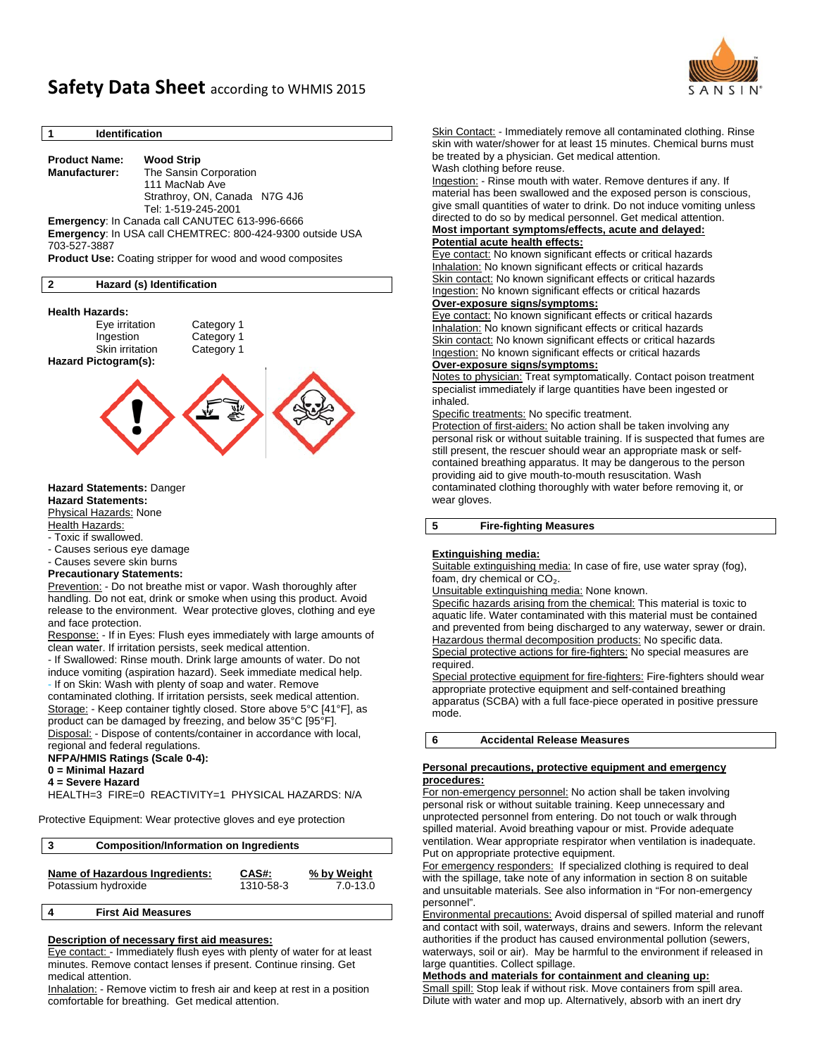

# **Safety Data Sheet** according to WHMIS <sup>2015</sup>

# **1 Identification**

**Product Name: Wood Strip** **Manufacturer:** The Sansin Corporation 111 MacNab Ave Strathroy, ON, Canada N7G 4J6 Tel: 1-519-245-2001 **Emergency**: In Canada call CANUTEC 613-996-6666 **Emergency**: In USA call CHEMTREC: 800-424-9300 outside USA 703-527-3887 **Product Use:** Coating stripper for wood and wood composites

#### **2 Hazard (s) Identification**

#### **Health Hazards:**

Eye irritation Category 1 Ingestion Category 1 Skin irritation Category 1 **Hazard Pictogram(s):** 



**Hazard Statements:** 

Physical Hazards: None

**Health Hazards:** 

- Toxic if swallowed.

- Causes serious eye damage

- Causes severe skin burns

### **Precautionary Statements:**

Prevention: - Do not breathe mist or vapor. Wash thoroughly after handling. Do not eat, drink or smoke when using this product. Avoid release to the environment. Wear protective gloves, clothing and eye and face protection.

Response: - If in Eyes: Flush eyes immediately with large amounts of clean water. If irritation persists, seek medical attention.

- If Swallowed: Rinse mouth. Drink large amounts of water. Do not induce vomiting (aspiration hazard). Seek immediate medical help. - If on Skin: Wash with plenty of soap and water. Remove

contaminated clothing. If irritation persists, seek medical attention. Storage: - Keep container tightly closed. Store above 5°C [41°F], as product can be damaged by freezing, and below 35°C [95°F].

Disposal: - Dispose of contents/container in accordance with local, regional and federal regulations.

**NFPA/HMIS Ratings (Scale 0-4):** 

**0 = Minimal Hazard** 

**4 = Severe Hazard** 

HEALTH=3 FIRE=0 REACTIVITY=1 PHYSICAL HAZARDS: N/A

Protective Equipment: Wear protective gloves and eye protection

| 3 | <b>Composition/Information on Ingredients</b> |           |              |  |
|---|-----------------------------------------------|-----------|--------------|--|
|   | Name of Hazardous Ingredients:                | CAS#:     | % by Weight  |  |
|   | Potassium hydroxide                           | 1310-58-3 | $7.0 - 13.0$ |  |

# **4 First Aid Measures**

### **Description of necessary first aid measures:**

Eye contact: - Immediately flush eyes with plenty of water for at least minutes. Remove contact lenses if present. Continue rinsing. Get medical attention.

Inhalation: - Remove victim to fresh air and keep at rest in a position comfortable for breathing. Get medical attention.

Skin Contact: - Immediately remove all contaminated clothing. Rinse skin with water/shower for at least 15 minutes. Chemical burns must be treated by a physician. Get medical attention. Wash clothing before reuse.

Ingestion: - Rinse mouth with water. Remove dentures if any. If material has been swallowed and the exposed person is conscious, give small quantities of water to drink. Do not induce vomiting unless directed to do so by medical personnel. Get medical attention.

#### **Most important symptoms/effects, acute and delayed: Potential acute health effects:**

Eye contact: No known significant effects or critical hazards Inhalation: No known significant effects or critical hazards Skin contact: No known significant effects or critical hazards Ingestion: No known significant effects or critical hazards **Over-exposure signs/symptoms:**

Eye contact: No known significant effects or critical hazards Inhalation: No known significant effects or critical hazards Skin contact: No known significant effects or critical hazards Ingestion: No known significant effects or critical hazards

#### **Over-exposure signs/symptoms:**

Notes to physician: Treat symptomatically. Contact poison treatment specialist immediately if large quantities have been ingested or inhaled.

#### Specific treatments: No specific treatment.

Protection of first-aiders: No action shall be taken involving any personal risk or without suitable training. If is suspected that fumes are still present, the rescuer should wear an appropriate mask or selfcontained breathing apparatus. It may be dangerous to the person providing aid to give mouth-to-mouth resuscitation. Wash contaminated clothing thoroughly with water before removing it, or wear gloves.

# **5 Fire-fighting Measures**

#### **Extinguishing media:**

Suitable extinguishing media: In case of fire, use water spray (fog), foam, dry chemical or CO<sub>2</sub>.

Unsuitable extinguishing media: None known.

Specific hazards arising from the chemical: This material is toxic to aquatic life. Water contaminated with this material must be contained and prevented from being discharged to any waterway, sewer or drain. Hazardous thermal decomposition products: No specific data. Special protective actions for fire-fighters: No special measures are required.

Special protective equipment for fire-fighters: Fire-fighters should wear appropriate protective equipment and self-contained breathing apparatus (SCBA) with a full face-piece operated in positive pressure mode.

**6 Accidental Release Measures** 

#### **Personal precautions, protective equipment and emergency procedures:**

For non-emergency personnel: No action shall be taken involving personal risk or without suitable training. Keep unnecessary and unprotected personnel from entering. Do not touch or walk through spilled material. Avoid breathing vapour or mist. Provide adequate ventilation. Wear appropriate respirator when ventilation is inadequate. Put on appropriate protective equipment.

For emergency responders: If specialized clothing is required to deal with the spillage, take note of any information in section 8 on suitable and unsuitable materials. See also information in "For non-emergency personnel".

Environmental precautions: Avoid dispersal of spilled material and runoff and contact with soil, waterways, drains and sewers. Inform the relevant authorities if the product has caused environmental pollution (sewers, waterways, soil or air). May be harmful to the environment if released in large quantities. Collect spillage.

#### **Methods and materials for containment and cleaning up:**

Small spill: Stop leak if without risk. Move containers from spill area. Dilute with water and mop up. Alternatively, absorb with an inert dry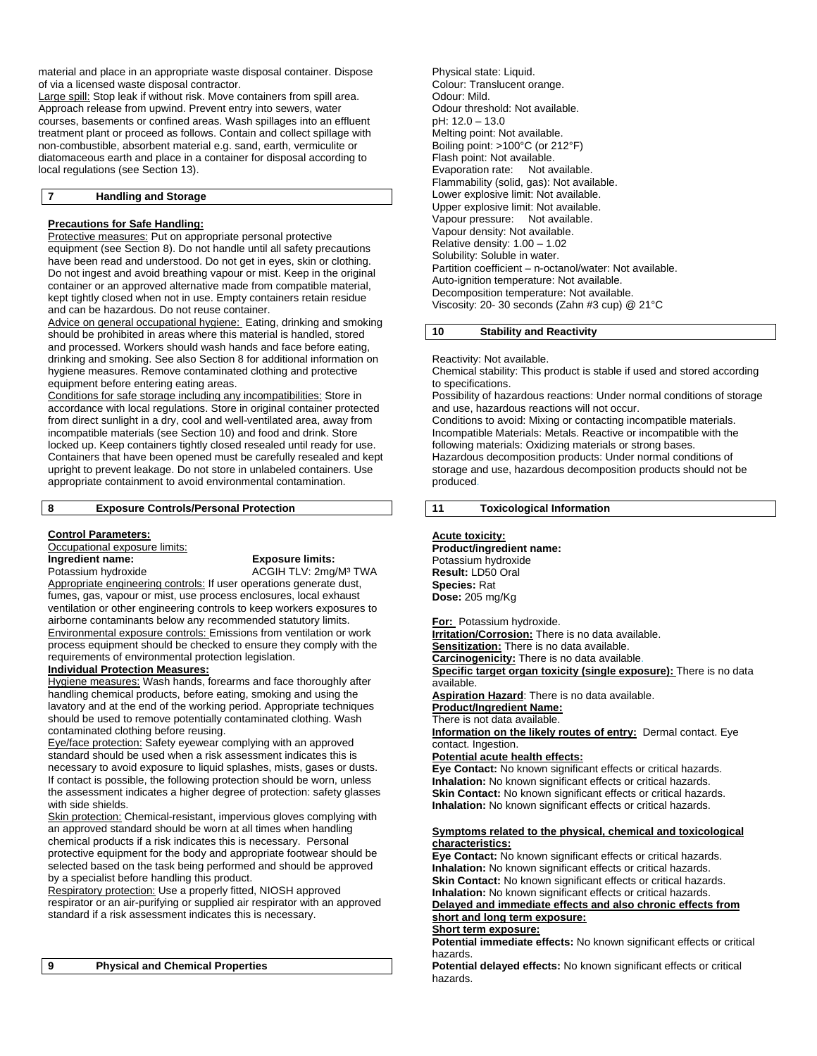material and place in an appropriate waste disposal container. Dispose of via a licensed waste disposal contractor.

Large spill: Stop leak if without risk. Move containers from spill area. Approach release from upwind. Prevent entry into sewers, water courses, basements or confined areas. Wash spillages into an effluent treatment plant or proceed as follows. Contain and collect spillage with non-combustible, absorbent material e.g. sand, earth, vermiculite or diatomaceous earth and place in a container for disposal according to local regulations (see Section 13).

#### **7 Handling and Storage**

#### **Precautions for Safe Handling:**

Protective measures: Put on appropriate personal protective equipment (see Section 8). Do not handle until all safety precautions have been read and understood. Do not get in eyes, skin or clothing. Do not ingest and avoid breathing vapour or mist. Keep in the original container or an approved alternative made from compatible material, kept tightly closed when not in use. Empty containers retain residue and can be hazardous. Do not reuse container.

Advice on general occupational hygiene: Eating, drinking and smoking should be prohibited in areas where this material is handled, stored and processed. Workers should wash hands and face before eating, drinking and smoking. See also Section 8 for additional information on hygiene measures. Remove contaminated clothing and protective equipment before entering eating areas.

Conditions for safe storage including any incompatibilities: Store in accordance with local regulations. Store in original container protected from direct sunlight in a dry, cool and well-ventilated area, away from incompatible materials (see Section 10) and food and drink. Store locked up. Keep containers tightly closed resealed until ready for use. Containers that have been opened must be carefully resealed and kept upright to prevent leakage. Do not store in unlabeled containers. Use appropriate containment to avoid environmental contamination.

#### **8 Exposure Controls/Personal Protection**

#### **Control Parameters:**

Occupational exposure limits: **Ingredient name:** Exposure limits:<br>
Potassium hydroxide **Exposure ACGIH TLV:** 2mg/

ACGIH TLV: 2mg/M<sup>3</sup> TWA

Appropriate engineering controls: If user operations generate dust, fumes, gas, vapour or mist, use process enclosures, local exhaust ventilation or other engineering controls to keep workers exposures to airborne contaminants below any recommended statutory limits. Environmental exposure controls: Emissions from ventilation or work process equipment should be checked to ensure they comply with the requirements of environmental protection legislation.

# **Individual Protection Measures:**

Hygiene measures: Wash hands, forearms and face thoroughly after handling chemical products, before eating, smoking and using the lavatory and at the end of the working period. Appropriate techniques should be used to remove potentially contaminated clothing. Wash contaminated clothing before reusing.

Eye/face protection: Safety eyewear complying with an approved standard should be used when a risk assessment indicates this is necessary to avoid exposure to liquid splashes, mists, gases or dusts. If contact is possible, the following protection should be worn, unless the assessment indicates a higher degree of protection: safety glasses with side shields.

Skin protection: Chemical-resistant, impervious gloves complying with an approved standard should be worn at all times when handling chemical products if a risk indicates this is necessary. Personal protective equipment for the body and appropriate footwear should be selected based on the task being performed and should be approved by a specialist before handling this product.

Respiratory protection: Use a properly fitted, NIOSH approved respirator or an air-purifying or supplied air respirator with an approved standard if a risk assessment indicates this is necessary.

Physical state: Liquid. Colour: Translucent orange. Odour: Mild. Odour threshold: Not available. pH: 12.0 – 13.0 Melting point: Not available. Boiling point: >100°C (or 212°F) Flash point: Not available. Evaporation rate: Not available. Flammability (solid, gas): Not available. Lower explosive limit: Not available. Upper explosive limit: Not available. Vapour pressure: Not available. Vapour density: Not available. Relative density: 1.00 – 1.02 Solubility: Soluble in water. Partition coefficient – n-octanol/water: Not available. Auto-ignition temperature: Not available. Decomposition temperature: Not available. Viscosity: 20- 30 seconds (Zahn #3 cup) @ 21°C

# **10 Stability and Reactivity**

Reactivity: Not available.

Chemical stability: This product is stable if used and stored according to specifications. Possibility of hazardous reactions: Under normal conditions of storage and use, hazardous reactions will not occur. Conditions to avoid: Mixing or contacting incompatible materials. Incompatible Materials: Metals. Reactive or incompatible with the following materials: Oxidizing materials or strong bases. Hazardous decomposition products: Under normal conditions of storage and use, hazardous decomposition products should not be produced.

**11 Toxicological Information** 

#### **Acute toxicity:**

**Product/ingredient name:**  Potassium hydroxide **Result:** LD50 Oral **Species:** Rat **Dose:** 205 mg/Kg

**For:** Potassium hydroxide.

**Irritation/Corrosion:** There is no data available. **Sensitization:** There is no data available. **Carcinogenicity:** There is no data available.

**Specific target organ toxicity (single exposure):** There is no data available.

**Aspiration Hazard**: There is no data available.

**Product/Ingredient Name:** 

There is not data available.

**Information on the likely routes of entry:** Dermal contact. Eye contact. Ingestion.

### **Potential acute health effects:**

**Eye Contact:** No known significant effects or critical hazards. **Inhalation:** No known significant effects or critical hazards. **Skin Contact:** No known significant effects or critical hazards. **Inhalation:** No known significant effects or critical hazards.

#### **Symptoms related to the physical, chemical and toxicological characteristics:**

**Eye Contact:** No known significant effects or critical hazards. **Inhalation:** No known significant effects or critical hazards. **Skin Contact:** No known significant effects or critical hazards. **Inhalation:** No known significant effects or critical hazards. **Delayed and immediate effects and also chronic effects from** 

# **short and long term exposure: Short term exposure:**

**Potential immediate effects:** No known significant effects or critical hazards.

**Potential delayed effects:** No known significant effects or critical hazards.